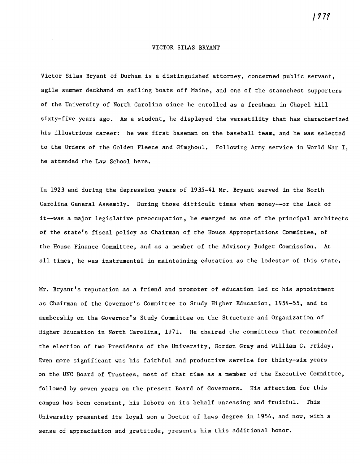### VICTOR SILAS BRYANT

Victor Silas Bryant of Durham is a distinguished attorney, concerned public servant, agile summer deckhand on sailing boats off Maine, and one of the staunchest supporters of the University of North Carolina since he enrolled as a freshman in Chapel Hill sixty-five years ago. As a student, he displayed the versatility that has characterized his illustrious career: he was first baseman on the baseball team, and he was selected to the Orders of the Golden Fleece and Gimghoul. Following Army service in World War I, he attended the Law School here.

In 1923 and during the depression years of 1935-41 Mr. Bryant served in the North Carolina General Assembly. During those difficult times when money--or the lack of it--was a major legislative preoccupation, he emerged as one of the principal architects of the state's fiscal policy as Chairman of the House Appropriations Committee, of the House Finance Committee, and as a member of the Advisory Budget Commission. At all times, he was instrumental in maintaining education as the lodestar of this state.

Mr. Bryant's reputation as a friend and promoter of education led to his appointment as Chairman of the Governor's Committee to Study Higher Education, 1954-55, and to membership on the Governor's Study Committee on the Structure and Organization of Higher Education in North Carolina, 1971. He chaired the committees that recommended the election of two Presidents of the University, Gordon Gray and William C. Friday. Even more significant was his faithful and productive service for thirty-six years on the UNC Board of Trustees, most of that time as a member of the Executive Committee, followed by seven years on the present Board of Governors. His affection for this campus has been constant, his labors on its behalf unceasing and fruitful. This University presented its loyal son a Doctor of Laws degree in 1956, and now, with a sense of appreciation and gratitude, presents him this additional honor.

J*17r*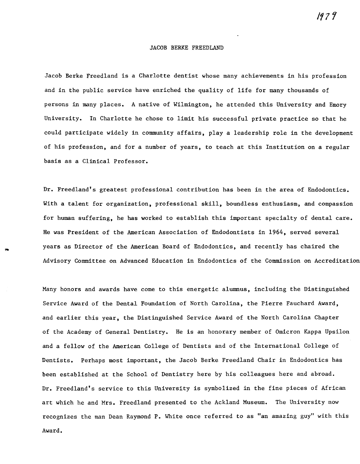# JACOB BERKE FREEDLAND

Jacob Berke Freedland is a Charlotte dentist whose many achievements in his profession and in the public service have enriched the quality of life for many thousands of persons in many places. A native of Wilmington, he attended this University and Emory University. In Charlotte he chose to limit his successful private practice so that he could participate widely in community affairs, playa leadership role in the development of his profession, and for a number of years, to teach at this Institution on a regular basis as a Clinical Professor.

Dr. Freedland's greatest professional contribution has been in the area of Endodontics. With a talent for organization, professional skill, boundless enthusiasm, and compassion for human suffering, he has worked to establish this important specialty of dental care. He was President of the American Association of Endodontists in 1964, served several years as Director of the American Board of Endodontics, and recently has chaired the Advisory Committee on Advanced Education in Endodontics of the Commission on Accreditation

Many honors and awards have come to this energetic alumnus, including the Distinguished Service Award of the Dental Foundation of North Carolina, the Pierre Fauchard Award, and earlier this year, the Distinguished Service Award of the North Carolina Chapter of the Academy of General Dentistry. He is an honorary member of Omicron Kappa Upsilon and a fellow of the American College of Dentists and of the International College of Dentists. Perhaps most important, the Jacob Berke Freedland Chair in Endodontics has been established at the School of Dentistry here by his colleagues here and abroad. Dr. Freedland's service to this University is symbolized in the fine pieces of African art which he and Mrs. Freedland presented to the Ackland Museum. The University now recognizes the man Dean Raymond P. White once referred to as "an amazing guy" with this Award.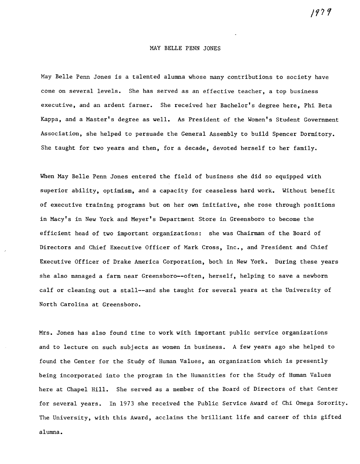## MAY BELLE PENN JONES

May Belle Penn Jones is a talented alumna whose many contributions to society have come on several levels. She has served as an effective teacher, a top business executive, and an ardent farmer. She received her Bachelor's degree here, Phi Beta Kappa, and a Master's degree as well. As President of the Women's Student Government Association, she helped to persuade the General Assembly to build Spencer Dormitory. She taught for two years and then, for a decade, devoted herself to her family.

When May Belle Penn Jones entered the field of business she did so equipped with superior ability, optimism, and a capacity for ceaseless hard work. Without benefit of executive training programs but on her own initiative, she rose through positions in Macy's in New York and Meyer's Department Store in Greensboro to become the efficient head of two important organizations: she was Chairman of the Board of Directors and Chief Executive Officer of Mark Cross, Inc., and President and Chief Executive Officer of Drake America Corporation, both in New York. During these years she also managed a farm near Greensboro--often, herself, helping to save a newborn calf or cleaning out a stall--and she taught for several years at the University of North Carolina at Greensboro.

Mrs. Jones has also found time to work with important public service organizations and to lecture on such subjects as women in business. A few years ago she helped to found the Center for the Study of Human Values, an organization which is presently being incorporated into the program in the Humanities for the Study of Human Values here at Chapel Hill. She served as a member of the Board of Directors of that Center for several years. In 1973 she received the Public Service Award of Chi Omega Sorority. The University, with this Award, acclaims the brilliant life and career of this gifted alumna.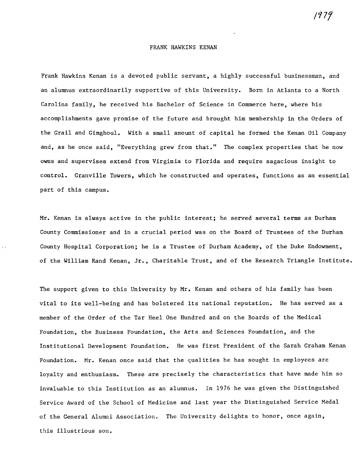#### FRANK HAWKINS KENAN

Frank Hawkins Kenan is a devoted public servant, a highly successful businessman, and an alumnus extraordinarily supportive of this University. Born in Atlanta to a North Carolina family, he received his Bachelor of Science in Commerce here, where his accomplishments gave promise of the future and brought him membership in the Orders of the Grail and Gimghoul. With a small amount of capital he formed the Kenan Oil Company and, as he once said, "Everything grew from that." The complex properties that he now owns and supervises extend from Virginia to Florida and require sagacious insight to control. Granville Towers, which he constructed and operates, functions as an essential part of this campus.

Mr. Kenan is always active in the public interest; he served several terms as Durham County Commissioner and in a crucial period was on the Board of Trustees of the Durham County Hospital Corporation; he is a Trustee of Durham Academy, of the Duke Endowment, of the William Rand Kenan, Jr., Charitable Trust, and of the Research Triangle Institute.

 $\mathbb{R}^n$ 

The support given to this University by Mr. Kenan and others of his family has been vital to its well-being and has bolstered its national reputation. He has served as a member of the Order of the Tar Heel One Hundred and on the Boards of the Medical Foundation, the Business Foundation, the Arts and Sciences Foundation, and the Institutional Development Foundation. He was first President of the Sarah Graham Kenan Foundation. Mr. Kenan once said that the qualities he has sought in employees are loyalty and enthusiasm. These are precisely the characteristics that have made him so invaluable to this Institution as an alumnus. In 1976 he was given the Distinguished Service Award of the School of Medicine and last year the Distinguished Service Medal of the General Alumni Association. The University delights to honor, once again, this illustrious son.

/977